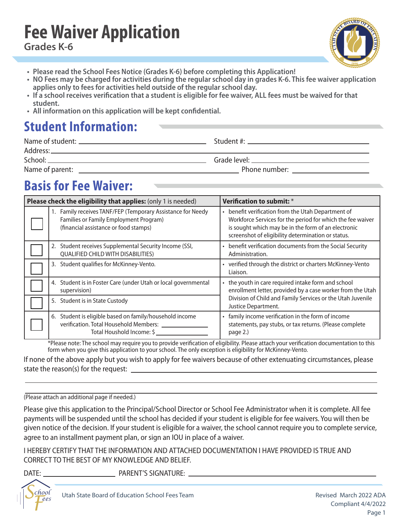## **Fee Waiver Application Grades K-6**



- **Please read the School Fees Notice (Grades K-6) before completing this Application!**
- **• NO Fees may be charged for activities during the regular school day in grades K-6. This fee waiver application applies only to fees for activities held outside of the regular school day.**
- **If a school receives verifcation that a student is eligible for fee waiver, ALL fees must be waived for that student.**
- **All information on this application will be kept confdential.**

# **Student Information:**

| School:         |                                                                                                                                                                                                                                |
|-----------------|--------------------------------------------------------------------------------------------------------------------------------------------------------------------------------------------------------------------------------|
| Name of parent: | Phone number: and the contract of the contract of the contract of the contract of the contract of the contract of the contract of the contract of the contract of the contract of the contract of the contract of the contract |

# **Basis for Fee Waiver:**

| Please check the eligibility that applies: (only 1 is needed)                                                                                  | <b>Verification to submit:</b> *                                                                                                                                                                                              |  |  |
|------------------------------------------------------------------------------------------------------------------------------------------------|-------------------------------------------------------------------------------------------------------------------------------------------------------------------------------------------------------------------------------|--|--|
| 1. Family receives TANF/FEP (Temporary Assistance for Needy<br>Families or Family Employment Program)<br>(financial assistance or food stamps) | • benefit verification from the Utah Department of<br>Workforce Services for the period for which the fee waiver<br>is sought which may be in the form of an electronic<br>screenshot of eligibility determination or status. |  |  |
| 2. Student receives Supplemental Security Income (SSI,<br><b>QUALIFIED CHILD WITH DISABILITIES)</b>                                            | • benefit verification documents from the Social Security<br>Administration.                                                                                                                                                  |  |  |
| 3. Student qualifies for McKinney-Vento.                                                                                                       | • verified through the district or charters McKinney-Vento<br>Liaison.                                                                                                                                                        |  |  |
| 4. Student is in Foster Care (under Utah or local governmental<br>supervision)                                                                 | • the youth in care required intake form and school<br>enrollment letter, provided by a case worker from the Utah                                                                                                             |  |  |
| 5. Student is in State Custody                                                                                                                 | Division of Child and Family Services or the Utah Juvenile<br>Justice Department.                                                                                                                                             |  |  |
| 6. Student is eligible based on family/household income<br>verification. Total Household Members:<br>Total Houshold Income: \$                 | • family income verification in the form of income<br>statements, pay stubs, or tax returns. (Please complete<br>page 2.)                                                                                                     |  |  |

\*Please note: The school may require you to provide verifcation of eligibility. Please attach your verifcation documentation to this form when you give this application to your school. The only exception is eligibility for McKinney-Vento.

If none of the above apply but you wish to apply for fee waivers because of other extenuating circumstances, please state the reason(s) for the request: \_

#### (Please attach an additional page if needed.)

Please give this application to the Principal/School Director or School Fee Administrator when it is complete. All fee payments will be suspended until the school has decided if your student is eligible for fee waivers. You will then be given notice of the decision. If your student is eligible for a waiver, the school cannot require you to complete service, agree to an installment payment plan, or sign an IOU in place of a waiver.

I HEREBY CERTIFY THAT THE INFORMATION AND ATTACHED DOCUMENTATION I HAVE PROVIDED IS TRUE AND CORRECT TO THE BEST OF MY KNOWLEDGE AND BELIEF.

I

DATE: PARENT'S SIGNATURE: